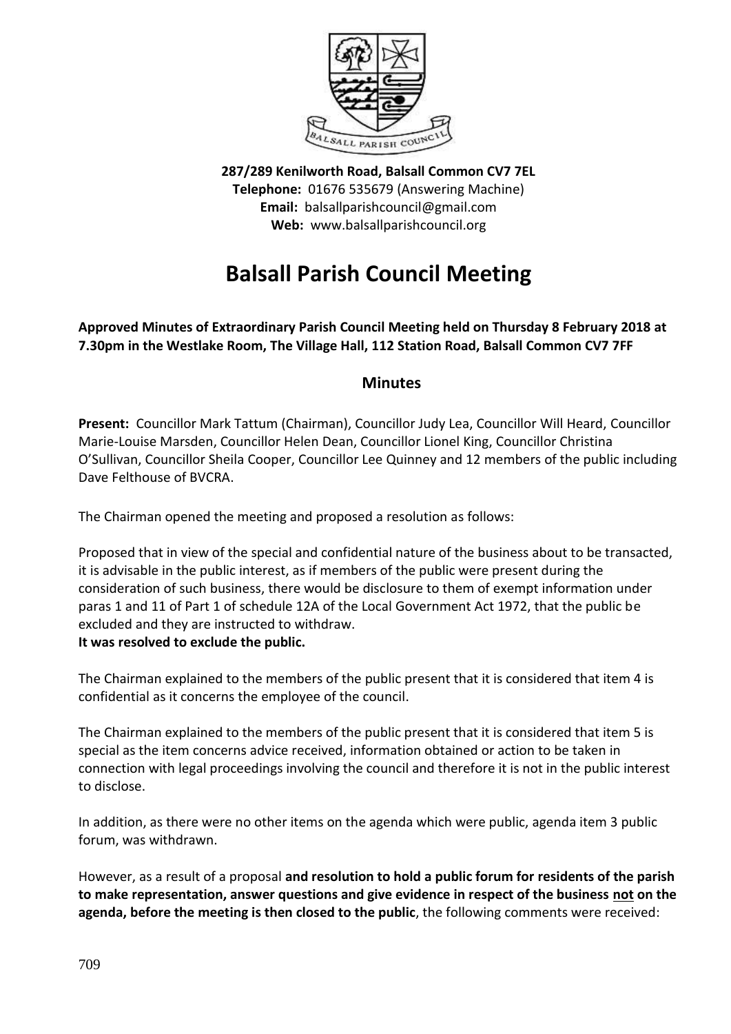

**287/289 Kenilworth Road, Balsall Common CV7 7EL Telephone:** 01676 535679 (Answering Machine) **Email:** balsallparishcouncil@gmail.com **Web:** www.balsallparishcouncil.org

## **Balsall Parish Council Meeting**

**Approved Minutes of Extraordinary Parish Council Meeting held on Thursday 8 February 2018 at 7.30pm in the Westlake Room, The Village Hall, 112 Station Road, Balsall Common CV7 7FF**

## **Minutes**

**Present:** Councillor Mark Tattum (Chairman), Councillor Judy Lea, Councillor Will Heard, Councillor Marie-Louise Marsden, Councillor Helen Dean, Councillor Lionel King, Councillor Christina O'Sullivan, Councillor Sheila Cooper, Councillor Lee Quinney and 12 members of the public including Dave Felthouse of BVCRA.

The Chairman opened the meeting and proposed a resolution as follows:

Proposed that in view of the special and confidential nature of the business about to be transacted, it is advisable in the public interest, as if members of the public were present during the consideration of such business, there would be disclosure to them of exempt information under paras 1 and 11 of Part 1 of schedule 12A of the Local Government Act 1972, that the public be excluded and they are instructed to withdraw.

## **It was resolved to exclude the public.**

The Chairman explained to the members of the public present that it is considered that item 4 is confidential as it concerns the employee of the council.

The Chairman explained to the members of the public present that it is considered that item 5 is special as the item concerns advice received, information obtained or action to be taken in connection with legal proceedings involving the council and therefore it is not in the public interest to disclose.

In addition, as there were no other items on the agenda which were public, agenda item 3 public forum, was withdrawn.

However, as a result of a proposal **and resolution to hold a public forum for residents of the parish to make representation, answer questions and give evidence in respect of the business not on the agenda, before the meeting is then closed to the public**, the following comments were received: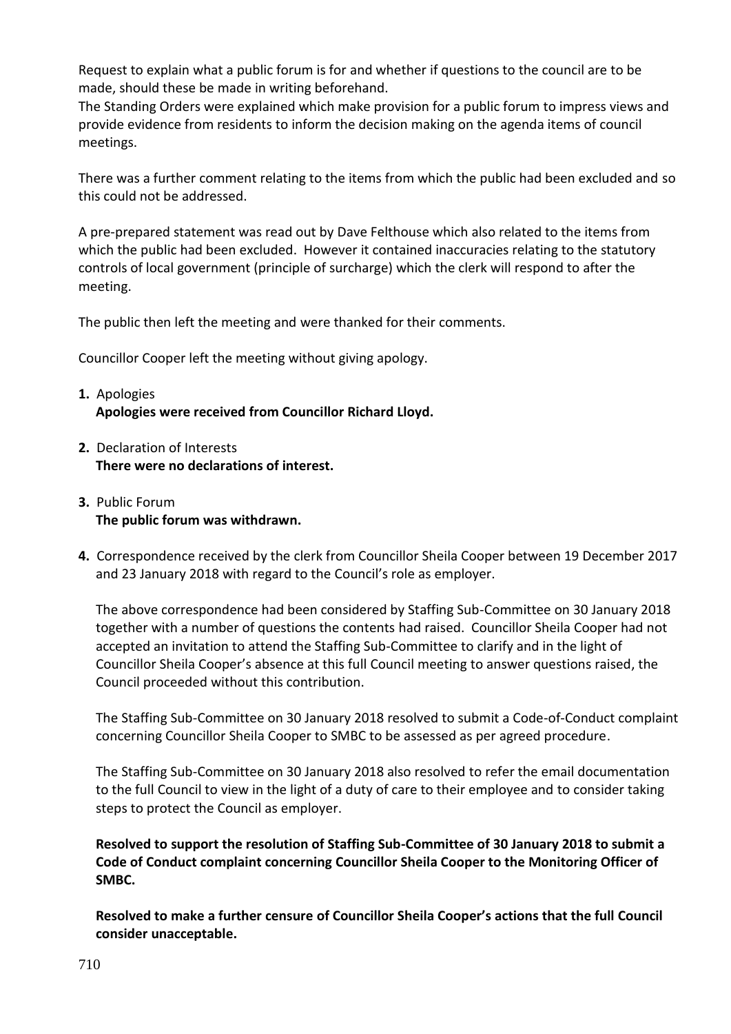Request to explain what a public forum is for and whether if questions to the council are to be made, should these be made in writing beforehand.

The Standing Orders were explained which make provision for a public forum to impress views and provide evidence from residents to inform the decision making on the agenda items of council meetings.

There was a further comment relating to the items from which the public had been excluded and so this could not be addressed.

A pre-prepared statement was read out by Dave Felthouse which also related to the items from which the public had been excluded. However it contained inaccuracies relating to the statutory controls of local government (principle of surcharge) which the clerk will respond to after the meeting.

The public then left the meeting and were thanked for their comments.

Councillor Cooper left the meeting without giving apology.

## **1.** Apologies **Apologies were received from Councillor Richard Lloyd.**

- **2.** Declaration of Interests **There were no declarations of interest.**
- **3.** Public Forum **The public forum was withdrawn.**
- **4.** Correspondence received by the clerk from Councillor Sheila Cooper between 19 December 2017 and 23 January 2018 with regard to the Council's role as employer.

The above correspondence had been considered by Staffing Sub-Committee on 30 January 2018 together with a number of questions the contents had raised. Councillor Sheila Cooper had not accepted an invitation to attend the Staffing Sub-Committee to clarify and in the light of Councillor Sheila Cooper's absence at this full Council meeting to answer questions raised, the Council proceeded without this contribution.

The Staffing Sub-Committee on 30 January 2018 resolved to submit a Code-of-Conduct complaint concerning Councillor Sheila Cooper to SMBC to be assessed as per agreed procedure.

The Staffing Sub-Committee on 30 January 2018 also resolved to refer the email documentation to the full Council to view in the light of a duty of care to their employee and to consider taking steps to protect the Council as employer.

**Resolved to support the resolution of Staffing Sub-Committee of 30 January 2018 to submit a Code of Conduct complaint concerning Councillor Sheila Cooper to the Monitoring Officer of SMBC.**

**Resolved to make a further censure of Councillor Sheila Cooper's actions that the full Council consider unacceptable.**